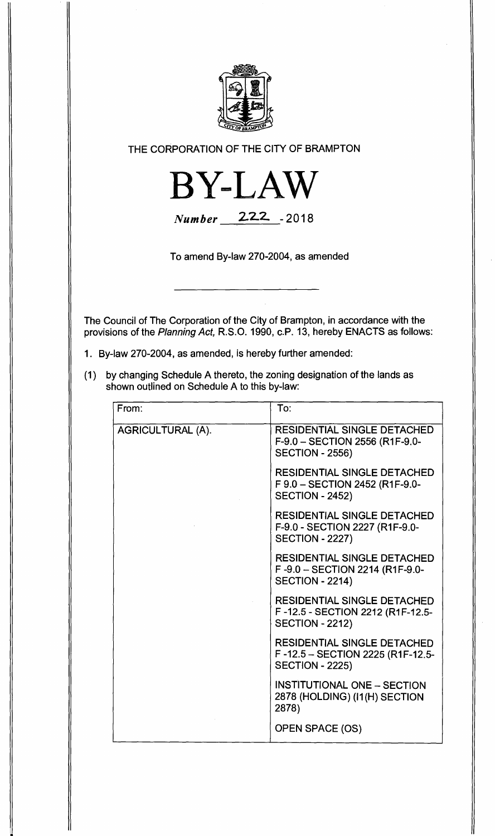

**THE CORPORATION OF THE CITY OF BRAMPTON** 



**Number 22-2 - <sup>2018</sup>**

**To amend By-law 270-2004, as amended** 

**The Council of The Corporation of the City of Brampton, in accordance with the provisions of the Planning Act, R.S.O. 1990, c.P. 13, hereby ENACTS as follows:** 

- **1. By-law 270-2004, as amended, is hereby further amended:**
- **(1) by changing Schedule A thereto, the zoning designation of the lands as shown outlined on Schedule A to this by-law:**

| From:                    | To:                                                                                              |
|--------------------------|--------------------------------------------------------------------------------------------------|
| <b>AGRICULTURAL (A).</b> | <b>RESIDENTIAL SINGLE DETACHED</b><br>F-9.0 - SECTION 2556 (R1F-9.0-<br><b>SECTION - 2556)</b>   |
|                          | <b>RESIDENTIAL SINGLE DETACHED</b><br>F 9.0 - SECTION 2452 (R1F-9.0-<br><b>SECTION - 2452)</b>   |
|                          | <b>RESIDENTIAL SINGLE DETACHED</b><br>F-9.0 - SECTION 2227 (R1F-9.0-<br><b>SECTION - 2227)</b>   |
|                          | <b>RESIDENTIAL SINGLE DETACHED</b><br>F-9.0 - SECTION 2214 (R1F-9.0-<br><b>SECTION - 2214)</b>   |
|                          | <b>RESIDENTIAL SINGLE DETACHED</b><br>F-12.5 - SECTION 2212 (R1F-12.5-<br><b>SECTION - 2212)</b> |
|                          | <b>RESIDENTIAL SINGLE DETACHED</b><br>F-12.5 - SECTION 2225 (R1F-12.5-<br><b>SECTION - 2225)</b> |
|                          | <b>INSTITUTIONAL ONE - SECTION</b><br>2878 (HOLDING) (I1(H) SECTION<br>2878)                     |
|                          | OPEN SPACE (OS)                                                                                  |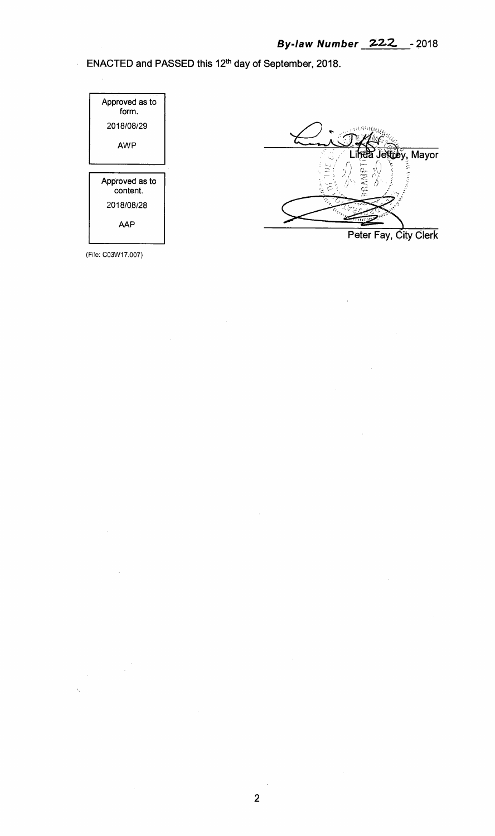**ENACTED and PASSED this 12th day of September, 2018.** 



 $\frac{1}{2}$ 



**Peter Fay, City Clerk** 

(File: CO3W17.007)

 $\frac{1}{2}$  ,  $\frac{1}{2}$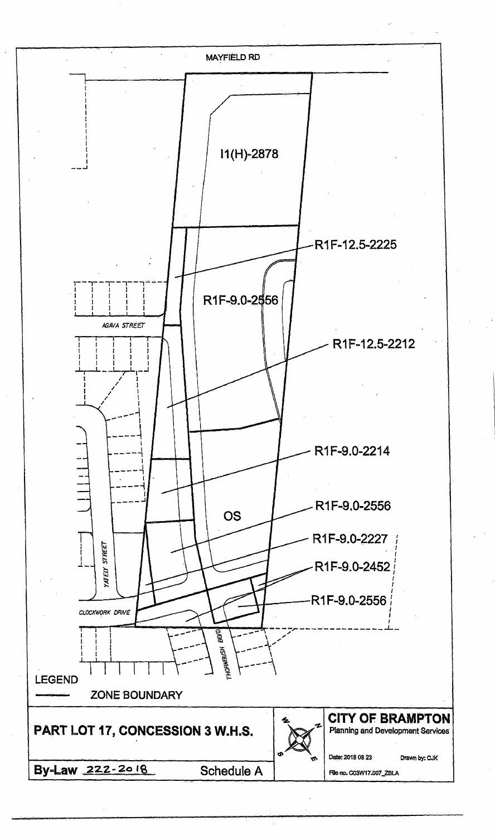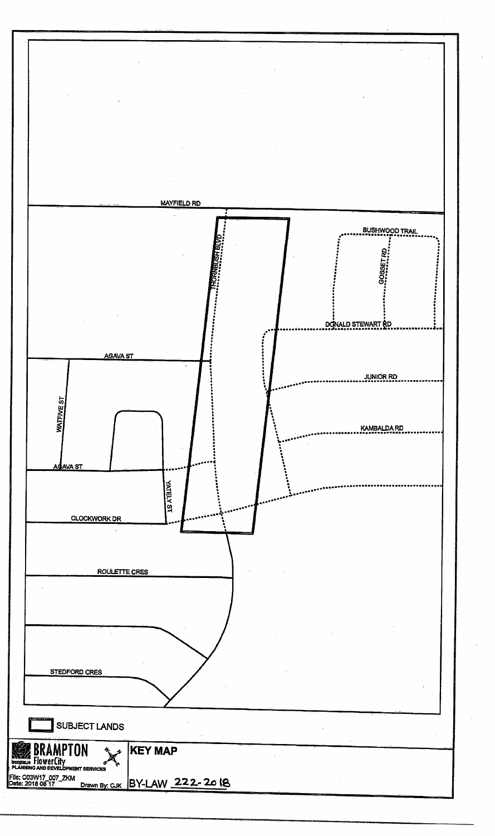